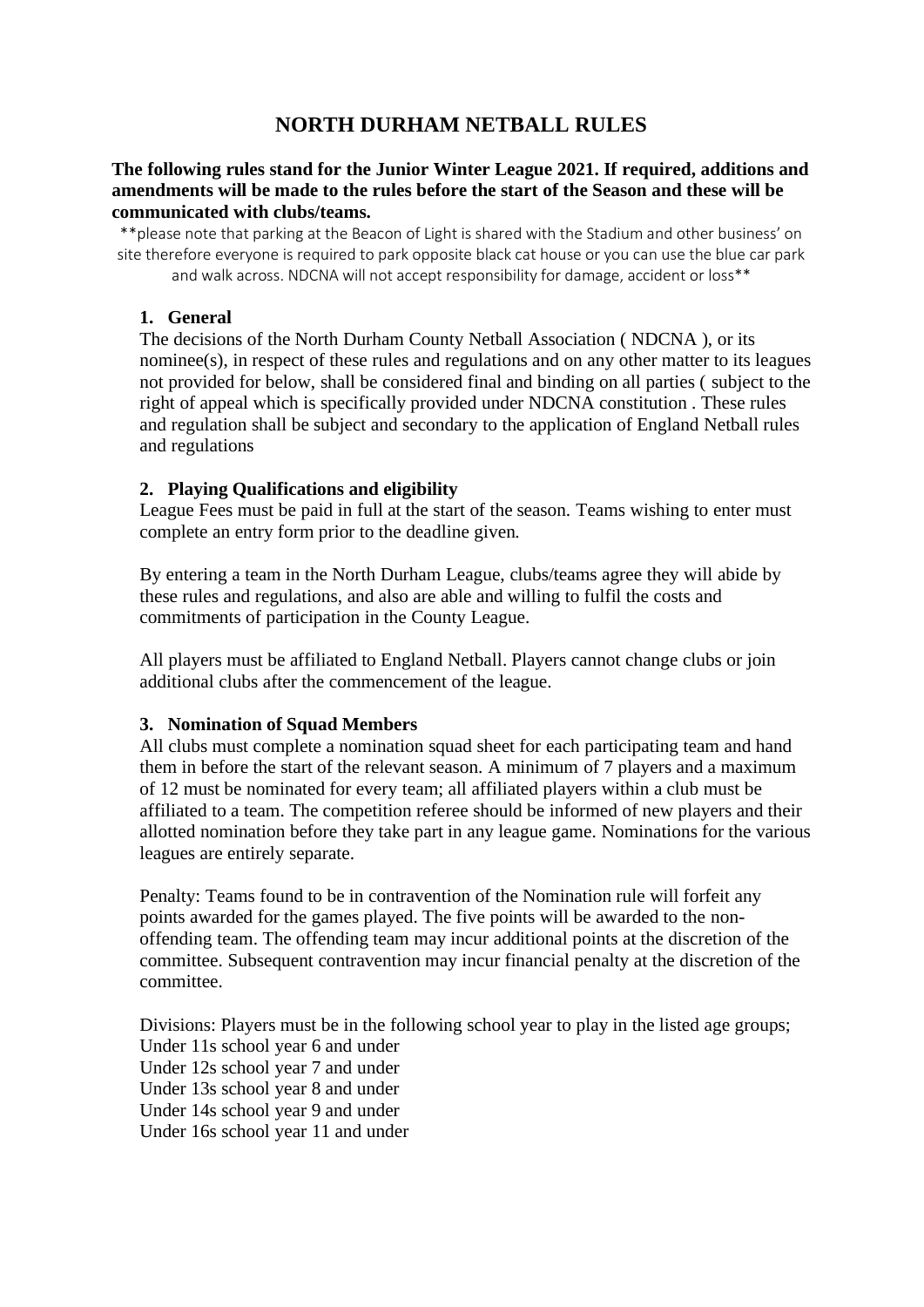# **NORTH DURHAM NETBALL RULES**

### **The following rules stand for the Junior Winter League 2021. If required, additions and amendments will be made to the rules before the start of the Season and these will be communicated with clubs/teams.**

\*\*please note that parking at the Beacon of Light is shared with the Stadium and other business' on site therefore everyone is required to park opposite black cat house or you can use the blue car park and walk across. NDCNA will not accept responsibility for damage, accident or loss\*\*

#### **1. General**

The decisions of the North Durham County Netball Association ( NDCNA ), or its nominee(s), in respect of these rules and regulations and on any other matter to its leagues not provided for below, shall be considered final and binding on all parties ( subject to the right of appeal which is specifically provided under NDCNA constitution . These rules and regulation shall be subject and secondary to the application of England Netball rules and regulations

### **2. Playing Qualifications and eligibility**

League Fees must be paid in full at the start of the season. Teams wishing to enter must complete an entry form prior to the deadline given.

By entering a team in the North Durham League, clubs/teams agree they will abide by these rules and regulations, and also are able and willing to fulfil the costs and commitments of participation in the County League.

All players must be affiliated to England Netball. Players cannot change clubs or join additional clubs after the commencement of the league.

#### **3. Nomination of Squad Members**

All clubs must complete a nomination squad sheet for each participating team and hand them in before the start of the relevant season. A minimum of 7 players and a maximum of 12 must be nominated for every team; all affiliated players within a club must be affiliated to a team. The competition referee should be informed of new players and their allotted nomination before they take part in any league game. Nominations for the various leagues are entirely separate.

Penalty: Teams found to be in contravention of the Nomination rule will forfeit any points awarded for the games played. The five points will be awarded to the nonoffending team. The offending team may incur additional points at the discretion of the committee. Subsequent contravention may incur financial penalty at the discretion of the committee.

Divisions: Players must be in the following school year to play in the listed age groups; Under 11s school year 6 and under Under 12s school year 7 and under Under 13s school year 8 and under Under 14s school year 9 and under Under 16s school year 11 and under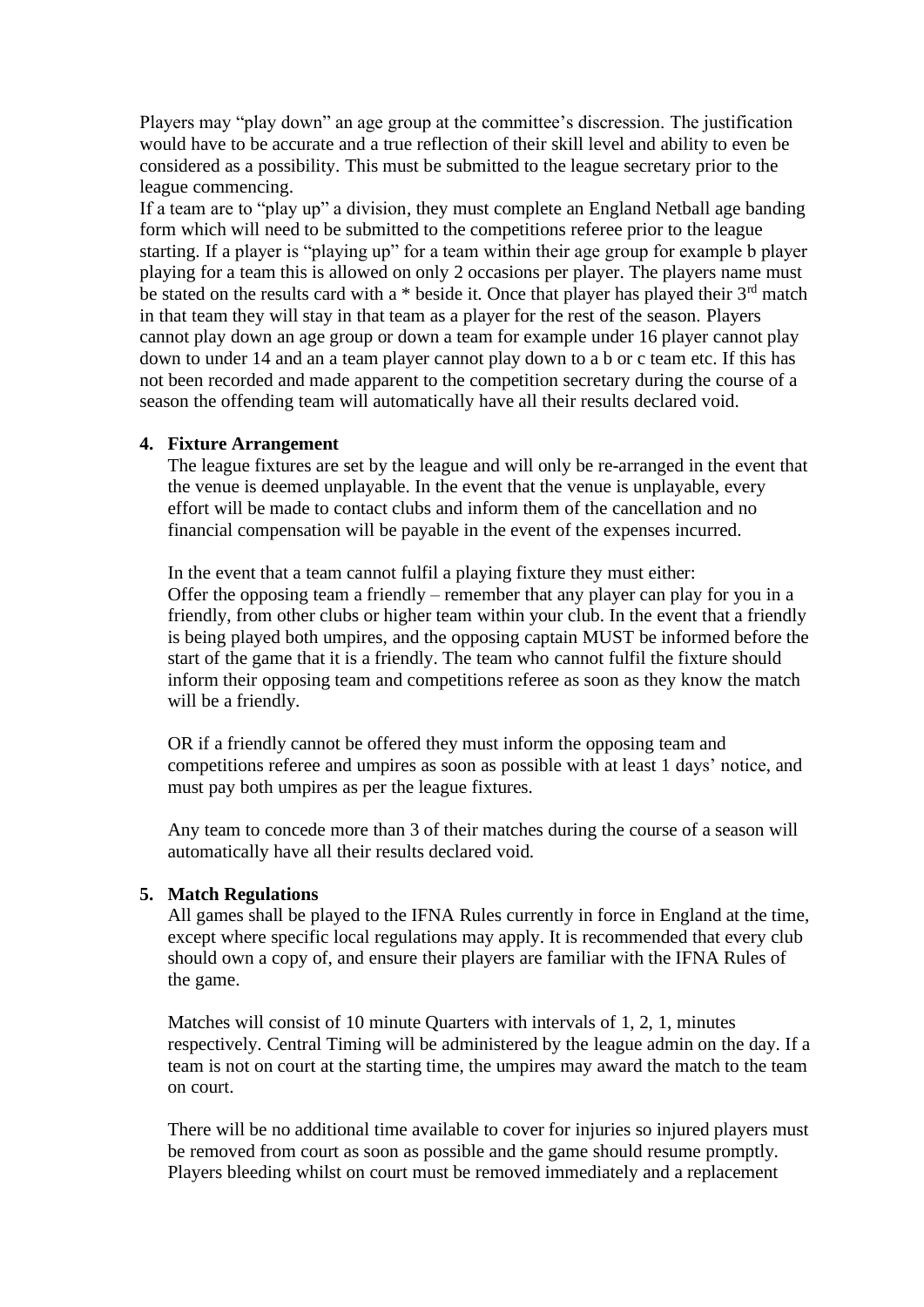Players may "play down" an age group at the committee's discression. The justification would have to be accurate and a true reflection of their skill level and ability to even be considered as a possibility. This must be submitted to the league secretary prior to the league commencing.

If a team are to "play up" a division, they must complete an England Netball age banding form which will need to be submitted to the competitions referee prior to the league starting. If a player is "playing up" for a team within their age group for example b player playing for a team this is allowed on only 2 occasions per player. The players name must be stated on the results card with a  $*$  beside it. Once that player has played their  $3<sup>rd</sup>$  match in that team they will stay in that team as a player for the rest of the season. Players cannot play down an age group or down a team for example under 16 player cannot play down to under 14 and an a team player cannot play down to a b or c team etc. If this has not been recorded and made apparent to the competition secretary during the course of a season the offending team will automatically have all their results declared void.

#### **4. Fixture Arrangement**

The league fixtures are set by the league and will only be re-arranged in the event that the venue is deemed unplayable. In the event that the venue is unplayable, every effort will be made to contact clubs and inform them of the cancellation and no financial compensation will be payable in the event of the expenses incurred.

In the event that a team cannot fulfil a playing fixture they must either: Offer the opposing team a friendly – remember that any player can play for you in a friendly, from other clubs or higher team within your club. In the event that a friendly is being played both umpires, and the opposing captain MUST be informed before the start of the game that it is a friendly. The team who cannot fulfil the fixture should inform their opposing team and competitions referee as soon as they know the match will be a friendly.

OR if a friendly cannot be offered they must inform the opposing team and competitions referee and umpires as soon as possible with at least 1 days' notice, and must pay both umpires as per the league fixtures.

Any team to concede more than 3 of their matches during the course of a season will automatically have all their results declared void.

#### **5. Match Regulations**

All games shall be played to the IFNA Rules currently in force in England at the time, except where specific local regulations may apply. It is recommended that every club should own a copy of, and ensure their players are familiar with the IFNA Rules of the game.

Matches will consist of 10 minute Quarters with intervals of 1, 2, 1, minutes respectively. Central Timing will be administered by the league admin on the day. If a team is not on court at the starting time, the umpires may award the match to the team on court.

There will be no additional time available to cover for injuries so injured players must be removed from court as soon as possible and the game should resume promptly. Players bleeding whilst on court must be removed immediately and a replacement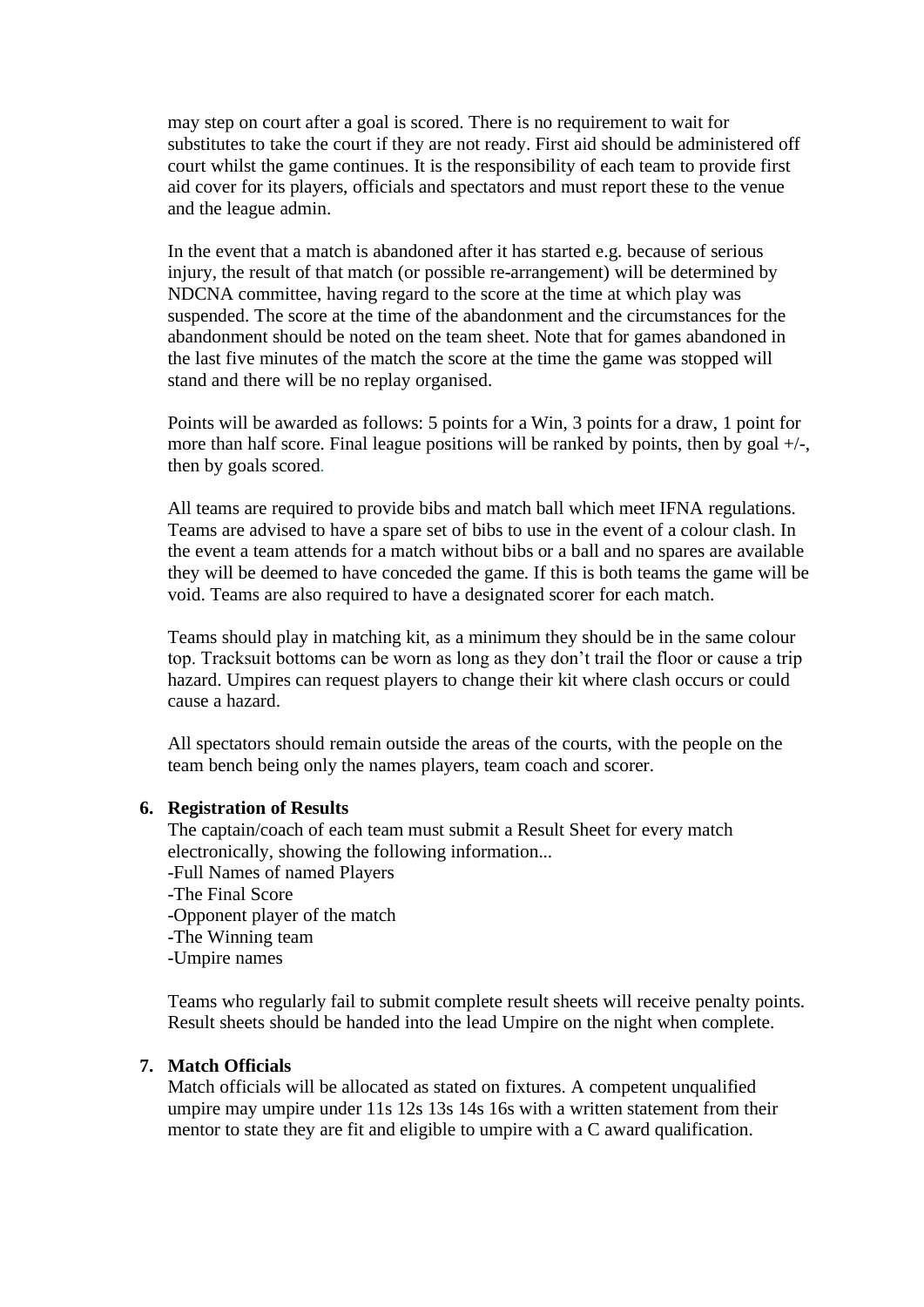may step on court after a goal is scored. There is no requirement to wait for substitutes to take the court if they are not ready. First aid should be administered off court whilst the game continues. It is the responsibility of each team to provide first aid cover for its players, officials and spectators and must report these to the venue and the league admin.

In the event that a match is abandoned after it has started e.g. because of serious injury, the result of that match (or possible re-arrangement) will be determined by NDCNA committee, having regard to the score at the time at which play was suspended. The score at the time of the abandonment and the circumstances for the abandonment should be noted on the team sheet. Note that for games abandoned in the last five minutes of the match the score at the time the game was stopped will stand and there will be no replay organised.

Points will be awarded as follows: 5 points for a Win, 3 points for a draw, 1 point for more than half score. Final league positions will be ranked by points, then by goal  $+/-$ , then by goals scored*.*

All teams are required to provide bibs and match ball which meet IFNA regulations. Teams are advised to have a spare set of bibs to use in the event of a colour clash. In the event a team attends for a match without bibs or a ball and no spares are available they will be deemed to have conceded the game. If this is both teams the game will be void. Teams are also required to have a designated scorer for each match.

Teams should play in matching kit, as a minimum they should be in the same colour top. Tracksuit bottoms can be worn as long as they don't trail the floor or cause a trip hazard. Umpires can request players to change their kit where clash occurs or could cause a hazard.

All spectators should remain outside the areas of the courts, with the people on the team bench being only the names players, team coach and scorer.

#### **6. Registration of Results**

The captain/coach of each team must submit a Result Sheet for every match electronically, showing the following information... -Full Names of named Players

- -The Final Score
- -Opponent player of the match
- -The Winning team
- -Umpire names

Teams who regularly fail to submit complete result sheets will receive penalty points. Result sheets should be handed into the lead Umpire on the night when complete.

#### **7. Match Officials**

Match officials will be allocated as stated on fixtures. A competent unqualified umpire may umpire under 11s 12s 13s 14s 16s with a written statement from their mentor to state they are fit and eligible to umpire with a C award qualification.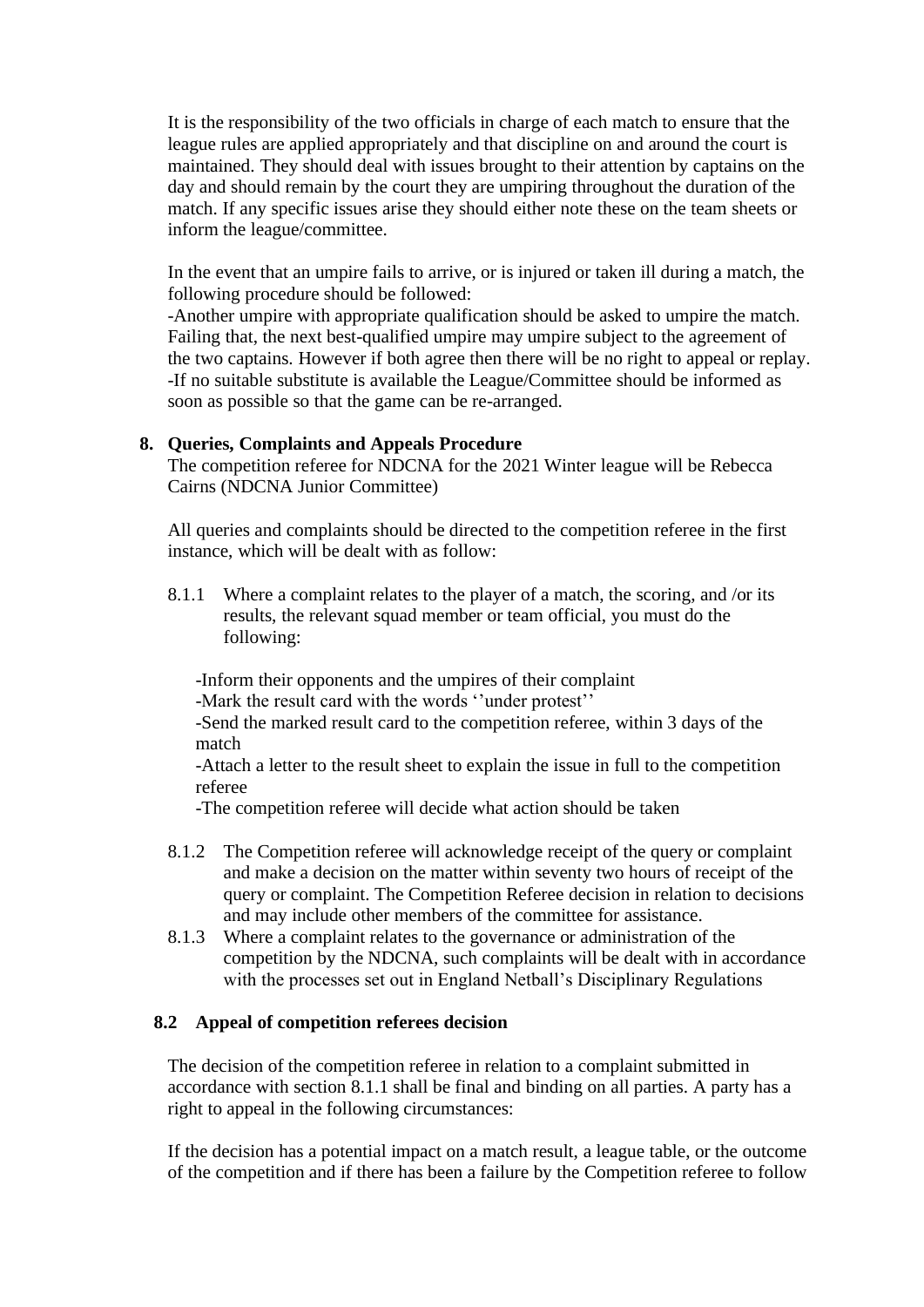It is the responsibility of the two officials in charge of each match to ensure that the league rules are applied appropriately and that discipline on and around the court is maintained. They should deal with issues brought to their attention by captains on the day and should remain by the court they are umpiring throughout the duration of the match. If any specific issues arise they should either note these on the team sheets or inform the league/committee.

In the event that an umpire fails to arrive, or is injured or taken ill during a match, the following procedure should be followed:

-Another umpire with appropriate qualification should be asked to umpire the match. Failing that, the next best-qualified umpire may umpire subject to the agreement of the two captains. However if both agree then there will be no right to appeal or replay. -If no suitable substitute is available the League/Committee should be informed as soon as possible so that the game can be re-arranged.

#### **8. Queries, Complaints and Appeals Procedure**

The competition referee for NDCNA for the 2021 Winter league will be Rebecca Cairns (NDCNA Junior Committee)

All queries and complaints should be directed to the competition referee in the first instance, which will be dealt with as follow:

8.1.1 Where a complaint relates to the player of a match, the scoring, and /or its results, the relevant squad member or team official, you must do the following:

-Inform their opponents and the umpires of their complaint

-Mark the result card with the words ''under protest''

-Send the marked result card to the competition referee, within 3 days of the match

-Attach a letter to the result sheet to explain the issue in full to the competition referee

-The competition referee will decide what action should be taken

- 8.1.2 The Competition referee will acknowledge receipt of the query or complaint and make a decision on the matter within seventy two hours of receipt of the query or complaint. The Competition Referee decision in relation to decisions and may include other members of the committee for assistance.
- 8.1.3 Where a complaint relates to the governance or administration of the competition by the NDCNA, such complaints will be dealt with in accordance with the processes set out in England Netball's Disciplinary Regulations

## **8.2 Appeal of competition referees decision**

The decision of the competition referee in relation to a complaint submitted in accordance with section 8.1.1 shall be final and binding on all parties. A party has a right to appeal in the following circumstances:

If the decision has a potential impact on a match result, a league table, or the outcome of the competition and if there has been a failure by the Competition referee to follow